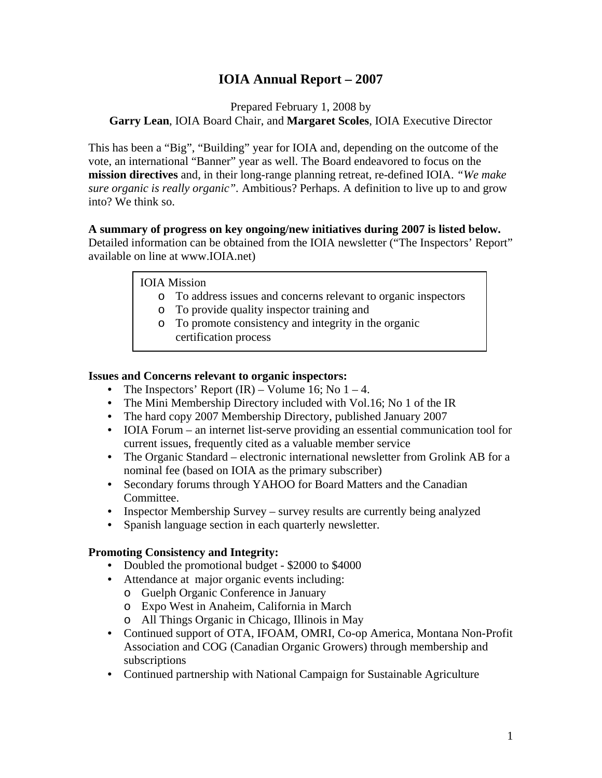# **IOIA Annual Report – 2007**

Prepared February 1, 2008 by

**Garry Lean**, IOIA Board Chair, and **Margaret Scoles**, IOIA Executive Director

This has been a "Big", "Building" year for IOIA and, depending on the outcome of the vote, an international "Banner" year as well. The Board endeavored to focus on the **mission directives** and, in their long-range planning retreat, re-defined IOIA. *"We make sure organic is really organic".* Ambitious? Perhaps. A definition to live up to and grow into? We think so.

### **A summary of progress on key ongoing/new initiatives during 2007 is listed below.**

Detailed information can be obtained from the IOIA newsletter ("The Inspectors' Report" available on line at www.IOIA.net)

### IOIA Mission

- o To address issues and concerns relevant to organic inspectors
- o To provide quality inspector training and
- o To promote consistency and integrity in the organic certification process

### **Issues and Concerns relevant to organic inspectors:**

- The Inspectors' Report  $(IR)$  Volume 16; No 1 4.
- The Mini Membership Directory included with Vol.16; No 1 of the IR
- The hard copy 2007 Membership Directory, published January 2007
- IOIA Forum an internet list-serve providing an essential communication tool for current issues, frequently cited as a valuable member service
- The Organic Standard electronic international newsletter from Grolink AB for a nominal fee (based on IOIA as the primary subscriber)
- Secondary forums through YAHOO for Board Matters and the Canadian Committee.
- Inspector Membership Survey survey results are currently being analyzed
- Spanish language section in each quarterly newsletter.

### **Promoting Consistency and Integrity:**

- Doubled the promotional budget \$2000 to \$4000
- Attendance at major organic events including:
	- o Guelph Organic Conference in January
	- o Expo West in Anaheim, California in March
	- o All Things Organic in Chicago, Illinois in May
- Continued support of OTA, IFOAM, OMRI, Co-op America, Montana Non-Profit Association and COG (Canadian Organic Growers) through membership and subscriptions
- Continued partnership with National Campaign for Sustainable Agriculture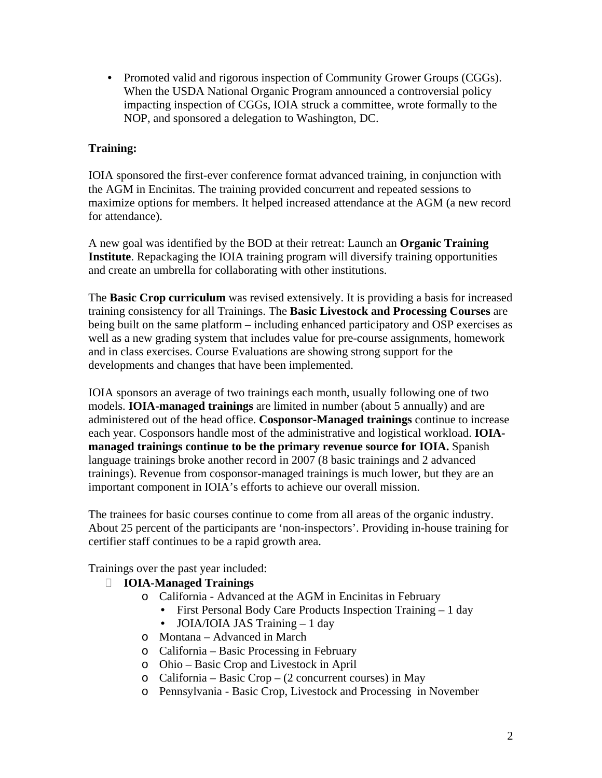• Promoted valid and rigorous inspection of Community Grower Groups (CGGs). When the USDA National Organic Program announced a controversial policy impacting inspection of CGGs, IOIA struck a committee, wrote formally to the NOP, and sponsored a delegation to Washington, DC.

## **Training:**

IOIA sponsored the first-ever conference format advanced training, in conjunction with the AGM in Encinitas. The training provided concurrent and repeated sessions to maximize options for members. It helped increased attendance at the AGM (a new record for attendance).

A new goal was identified by the BOD at their retreat: Launch an **Organic Training Institute**. Repackaging the IOIA training program will diversify training opportunities and create an umbrella for collaborating with other institutions.

The **Basic Crop curriculum** was revised extensively. It is providing a basis for increased training consistency for all Trainings. The **Basic Livestock and Processing Courses** are being built on the same platform – including enhanced participatory and OSP exercises as well as a new grading system that includes value for pre-course assignments, homework and in class exercises. Course Evaluations are showing strong support for the developments and changes that have been implemented.

IOIA sponsors an average of two trainings each month, usually following one of two models. **IOIA-managed trainings** are limited in number (about 5 annually) and are administered out of the head office. **Cosponsor-Managed trainings** continue to increase each year. Cosponsors handle most of the administrative and logistical workload. **IOIAmanaged trainings continue to be the primary revenue source for IOIA.** Spanish language trainings broke another record in 2007 (8 basic trainings and 2 advanced trainings). Revenue from cosponsor-managed trainings is much lower, but they are an important component in IOIA's efforts to achieve our overall mission.

The trainees for basic courses continue to come from all areas of the organic industry. About 25 percent of the participants are 'non-inspectors'. Providing in-house training for certifier staff continues to be a rapid growth area.

Trainings over the past year included:

- **IOIA-Managed Trainings**
	- o California Advanced at the AGM in Encinitas in February
		- First Personal Body Care Products Inspection Training 1 day
		- JOIA/IOIA JAS Training 1 day
	- o Montana Advanced in March
	- o California Basic Processing in February
	- o Ohio Basic Crop and Livestock in April
	- o California Basic Crop (2 concurrent courses) in May
	- o Pennsylvania Basic Crop, Livestock and Processing in November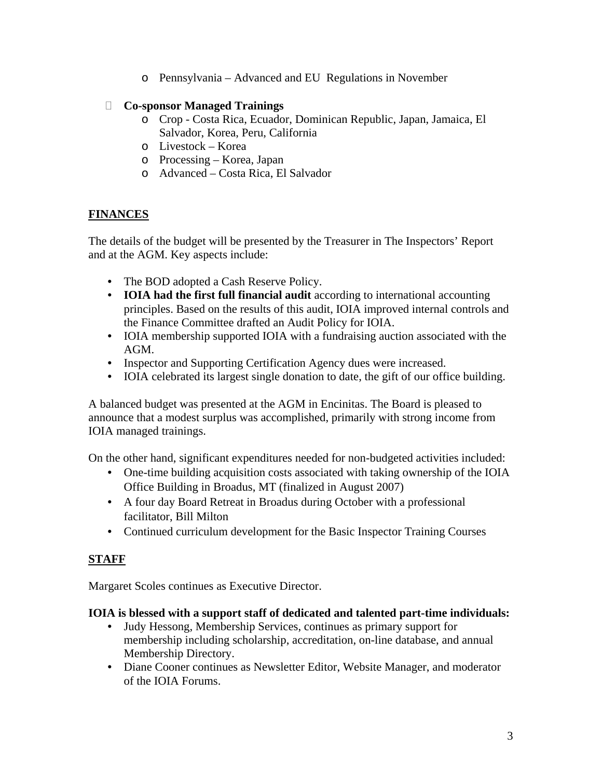o Pennsylvania – Advanced and EU Regulations in November

### **Co-sponsor Managed Trainings**

- o Crop Costa Rica, Ecuador, Dominican Republic, Japan, Jamaica, El Salvador, Korea, Peru, California
- o Livestock Korea
- o Processing Korea, Japan
- o Advanced Costa Rica, El Salvador

## **FINANCES**

The details of the budget will be presented by the Treasurer in The Inspectors' Report and at the AGM. Key aspects include:

- The BOD adopted a Cash Reserve Policy.
- **IOIA had the first full financial audit** according to international accounting principles. Based on the results of this audit, IOIA improved internal controls and the Finance Committee drafted an Audit Policy for IOIA.
- IOIA membership supported IOIA with a fundraising auction associated with the AGM.
- Inspector and Supporting Certification Agency dues were increased.
- IOIA celebrated its largest single donation to date, the gift of our office building.

A balanced budget was presented at the AGM in Encinitas. The Board is pleased to announce that a modest surplus was accomplished, primarily with strong income from IOIA managed trainings.

On the other hand, significant expenditures needed for non-budgeted activities included:

- One-time building acquisition costs associated with taking ownership of the IOIA Office Building in Broadus, MT (finalized in August 2007)
- A four day Board Retreat in Broadus during October with a professional facilitator, Bill Milton
- Continued curriculum development for the Basic Inspector Training Courses

## **STAFF**

Margaret Scoles continues as Executive Director.

### **IOIA is blessed with a support staff of dedicated and talented part-time individuals:**

- Judy Hessong, Membership Services, continues as primary support for membership including scholarship, accreditation, on-line database, and annual Membership Directory.
- Diane Cooner continues as Newsletter Editor, Website Manager, and moderator of the IOIA Forums.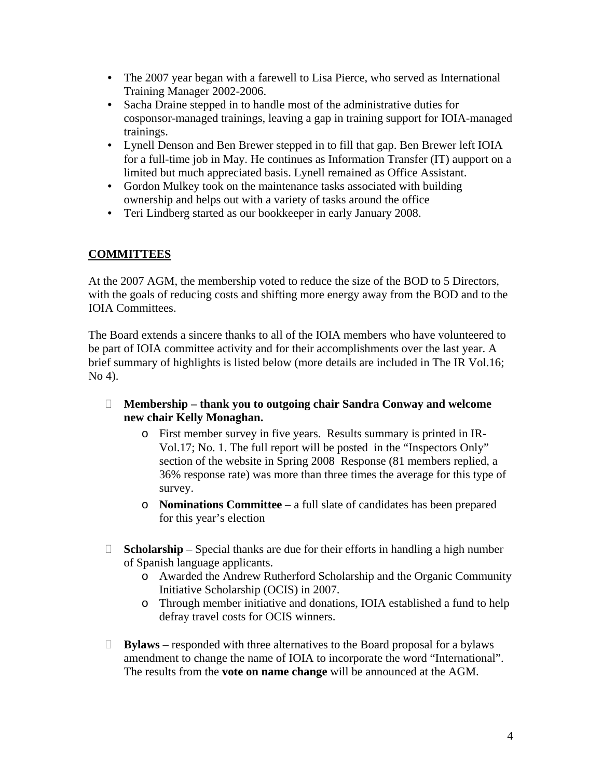- The 2007 year began with a farewell to Lisa Pierce, who served as International Training Manager 2002-2006.
- Sacha Draine stepped in to handle most of the administrative duties for cosponsor-managed trainings, leaving a gap in training support for IOIA-managed trainings.
- Lynell Denson and Ben Brewer stepped in to fill that gap. Ben Brewer left IOIA for a full-time job in May. He continues as Information Transfer (IT) aupport on a limited but much appreciated basis. Lynell remained as Office Assistant.
- Gordon Mulkey took on the maintenance tasks associated with building ownership and helps out with a variety of tasks around the office
- Teri Lindberg started as our bookkeeper in early January 2008.

## **COMMITTEES**

At the 2007 AGM, the membership voted to reduce the size of the BOD to 5 Directors, with the goals of reducing costs and shifting more energy away from the BOD and to the IOIA Committees.

The Board extends a sincere thanks to all of the IOIA members who have volunteered to be part of IOIA committee activity and for their accomplishments over the last year. A brief summary of highlights is listed below (more details are included in The IR Vol.16; No 4).

- **Membership thank you to outgoing chair Sandra Conway and welcome new chair Kelly Monaghan.** 
	- o First member survey in five years. Results summary is printed in IR-Vol.17; No. 1. The full report will be posted in the "Inspectors Only" section of the website in Spring 2008 Response (81 members replied, a 36% response rate) was more than three times the average for this type of survey.
	- o **Nominations Committee**  a full slate of candidates has been prepared for this year's election
- **Scholarship**  Special thanks are due for their efforts in handling a high number of Spanish language applicants.
	- o Awarded the Andrew Rutherford Scholarship and the Organic Community Initiative Scholarship (OCIS) in 2007.
	- o Through member initiative and donations, IOIA established a fund to help defray travel costs for OCIS winners.
- **Bylaws**  responded with three alternatives to the Board proposal for a bylaws amendment to change the name of IOIA to incorporate the word "International". The results from the **vote on name change** will be announced at the AGM.